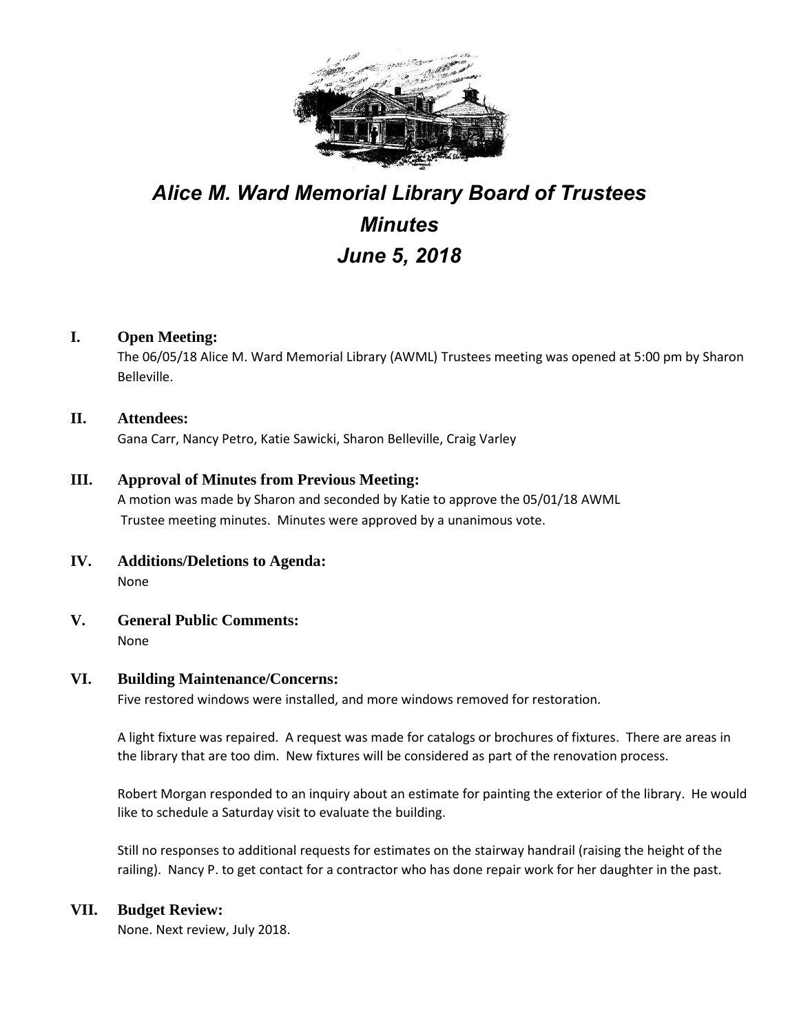

# *Alice M. Ward Memorial Library Board of Trustees Minutes June 5, 2018*

### **I. Open Meeting:**

The 06/05/18 Alice M. Ward Memorial Library (AWML) Trustees meeting was opened at 5:00 pm by Sharon Belleville.

### **II. Attendees:**

Gana Carr, Nancy Petro, Katie Sawicki, Sharon Belleville, Craig Varley

### **III. Approval of Minutes from Previous Meeting:**

A motion was made by Sharon and seconded by Katie to approve the 05/01/18 AWML Trustee meeting minutes. Minutes were approved by a unanimous vote.

- **IV. Additions/Deletions to Agenda:** None
- **V. General Public Comments:** None

#### **VI. Building Maintenance/Concerns:**

Five restored windows were installed, and more windows removed for restoration.

A light fixture was repaired. A request was made for catalogs or brochures of fixtures. There are areas in the library that are too dim. New fixtures will be considered as part of the renovation process.

Robert Morgan responded to an inquiry about an estimate for painting the exterior of the library. He would like to schedule a Saturday visit to evaluate the building.

Still no responses to additional requests for estimates on the stairway handrail (raising the height of the railing). Nancy P. to get contact for a contractor who has done repair work for her daughter in the past.

#### **VII. Budget Review:**

None. Next review, July 2018.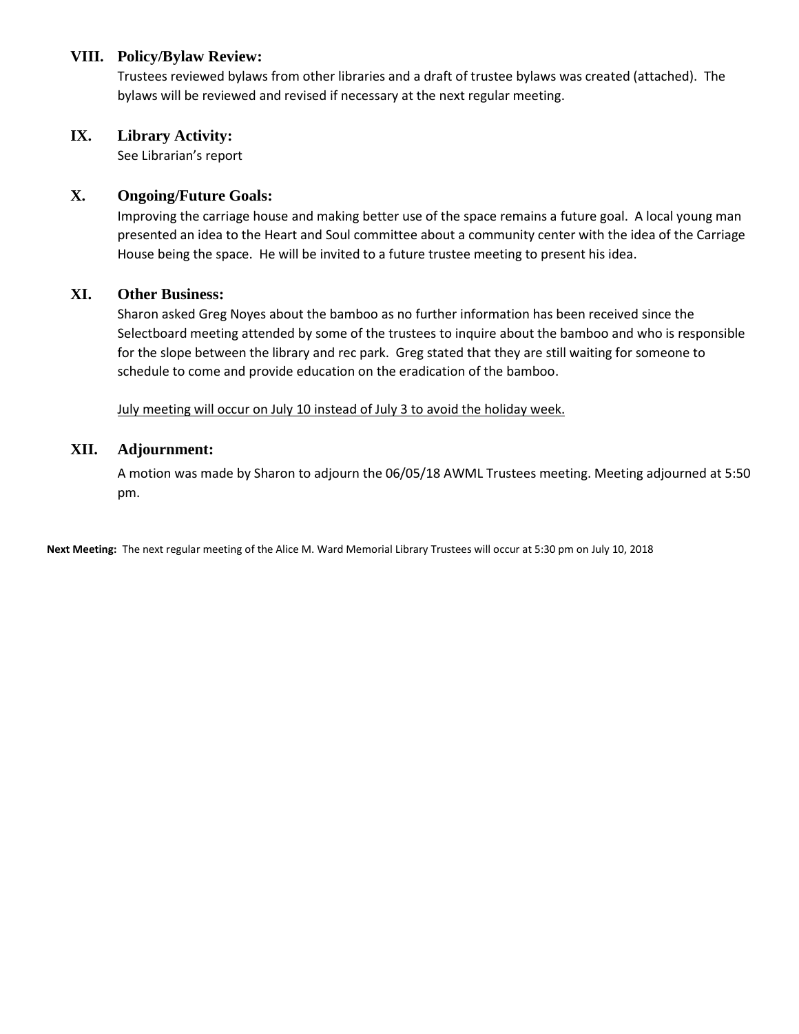### **VIII. Policy/Bylaw Review:**

Trustees reviewed bylaws from other libraries and a draft of trustee bylaws was created (attached). The bylaws will be reviewed and revised if necessary at the next regular meeting.

### **IX. Library Activity:**

See Librarian's report

### **X. Ongoing/Future Goals:**

Improving the carriage house and making better use of the space remains a future goal. A local young man presented an idea to the Heart and Soul committee about a community center with the idea of the Carriage House being the space. He will be invited to a future trustee meeting to present his idea.

### **XI. Other Business:**

Sharon asked Greg Noyes about the bamboo as no further information has been received since the Selectboard meeting attended by some of the trustees to inquire about the bamboo and who is responsible for the slope between the library and rec park. Greg stated that they are still waiting for someone to schedule to come and provide education on the eradication of the bamboo.

July meeting will occur on July 10 instead of July 3 to avoid the holiday week.

### **XII. Adjournment:**

A motion was made by Sharon to adjourn the 06/05/18 AWML Trustees meeting. Meeting adjourned at 5:50 pm.

**Next Meeting:** The next regular meeting of the Alice M. Ward Memorial Library Trustees will occur at 5:30 pm on July 10, 2018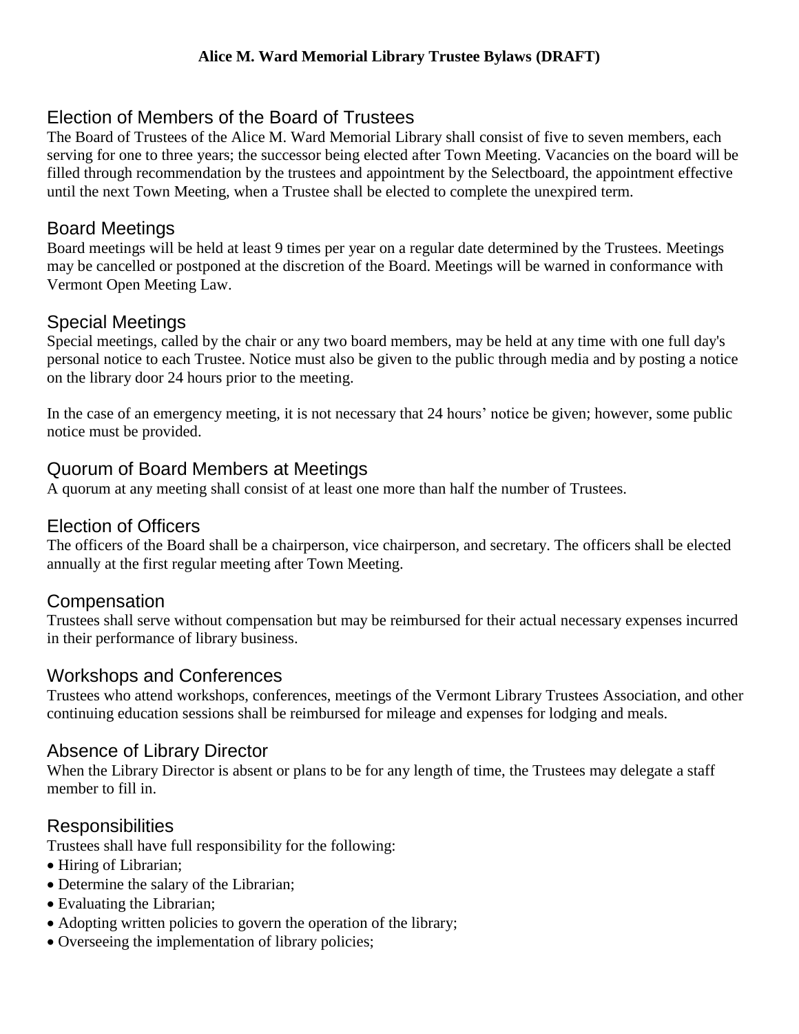# Election of Members of the Board of Trustees

The Board of Trustees of the Alice M. Ward Memorial Library shall consist of five to seven members, each serving for one to three years; the successor being elected after Town Meeting. Vacancies on the board will be filled through recommendation by the trustees and appointment by the Selectboard, the appointment effective until the next Town Meeting, when a Trustee shall be elected to complete the unexpired term.

# Board Meetings

Board meetings will be held at least 9 times per year on a regular date determined by the Trustees. Meetings may be cancelled or postponed at the discretion of the Board. Meetings will be warned in conformance with Vermont Open Meeting Law.

# Special Meetings

Special meetings, called by the chair or any two board members, may be held at any time with one full day's personal notice to each Trustee. Notice must also be given to the public through media and by posting a notice on the library door 24 hours prior to the meeting.

In the case of an emergency meeting, it is not necessary that 24 hours' notice be given; however, some public notice must be provided.

# Quorum of Board Members at Meetings

A quorum at any meeting shall consist of at least one more than half the number of Trustees.

## Election of Officers

The officers of the Board shall be a chairperson, vice chairperson, and secretary. The officers shall be elected annually at the first regular meeting after Town Meeting.

### **Compensation**

Trustees shall serve without compensation but may be reimbursed for their actual necessary expenses incurred in their performance of library business.

# Workshops and Conferences

Trustees who attend workshops, conferences, meetings of the Vermont Library Trustees Association, and other continuing education sessions shall be reimbursed for mileage and expenses for lodging and meals.

### Absence of Library Director

When the Library Director is absent or plans to be for any length of time, the Trustees may delegate a staff member to fill in.

# **Responsibilities**

Trustees shall have full responsibility for the following:

- Hiring of Librarian;
- Determine the salary of the Librarian;
- Evaluating the Librarian;
- Adopting written policies to govern the operation of the library;
- Overseeing the implementation of library policies;